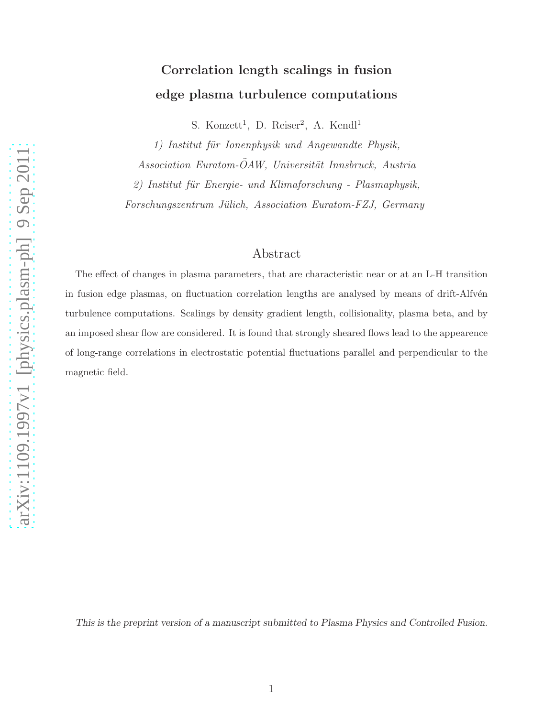# Correlation length scalings in fusion edge plasma turbulence computations

S. Konzett<sup>1</sup>, D. Reiser<sup>2</sup>, A. Kendl<sup>1</sup>

1) Institut für Ionenphysik und Angewandte Physik,

Association Euratom-ÖAW, Universität Innsbruck, Austria

 $2)$  Institut für Energie- und Klimaforschung - Plasmaphysik,

Forschungszentrum Jülich, Association Euratom-FZJ, Germany

# Abstract

The effect of changes in plasma parameters, that are characteristic near or at an L-H transition in fusion edge plasmas, on fluctuation correlation lengths are analysed by means of drift-Alfvén turbulence computations. Scalings by density gradient length, collisionality, plasma beta, and by an imposed shear flow are considered. It is found that strongly sheared flows lead to the appearence of long-range correlations in electrostatic potential fluctuations parallel and perpendicular to the magnetic field.

This is the preprint version of a manuscript submitted to Plasma Physics and Controlled Fusion.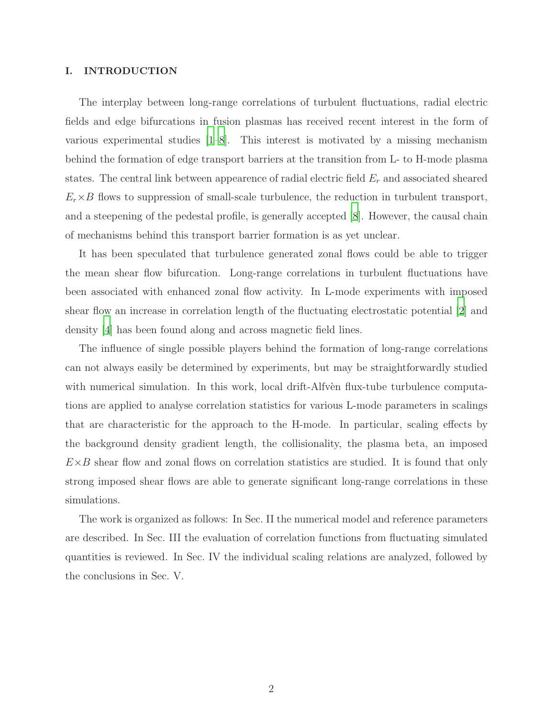## I. INTRODUCTION

The interplay between long-range correlations of turbulent fluctuations, radial electric fields and edge bifurcations in fusion plasmas has received recent interest in the form of various experimental studies [\[1](#page-16-0)[–8\]](#page-16-1). This interest is motivated by a missing mechanism behind the formation of edge transport barriers at the transition from L- to H-mode plasma states. The central link between appearence of radial electric field  $E_r$  and associated sheared  $E_r \times B$  flows to suppression of small-scale turbulence, the reduction in turbulent transport, and a steepening of the pedestal profile, is generally accepted [\[8](#page-16-1)]. However, the causal chain of mechanisms behind this transport barrier formation is as yet unclear.

It has been speculated that turbulence generated zonal flows could be able to trigger the mean shear flow bifurcation. Long-range correlations in turbulent fluctuations have been associated with enhanced zonal flow activity. In L-mode experiments with imposed shear flow an increase in correlation length of the fluctuating electrostatic potential [\[2](#page-16-2)] and density [\[4\]](#page-16-3) has been found along and across magnetic field lines.

The influence of single possible players behind the formation of long-range correlations can not always easily be determined by experiments, but may be straightforwardly studied with numerical simulation. In this work, local drift-Alfven flux-tube turbulence computations are applied to analyse correlation statistics for various L-mode parameters in scalings that are characteristic for the approach to the H-mode. In particular, scaling effects by the background density gradient length, the collisionality, the plasma beta, an imposed  $E\times B$  shear flow and zonal flows on correlation statistics are studied. It is found that only strong imposed shear flows are able to generate significant long-range correlations in these simulations.

The work is organized as follows: In Sec. II the numerical model and reference parameters are described. In Sec. III the evaluation of correlation functions from fluctuating simulated quantities is reviewed. In Sec. IV the individual scaling relations are analyzed, followed by the conclusions in Sec. V.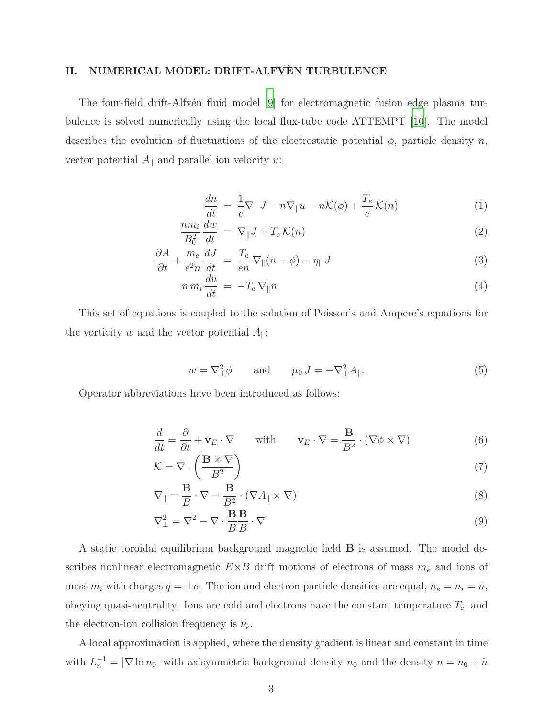## II. NUMERICAL MODEL: DRIFT-ALFVÈN TURBULENCE

The four-field drift-Alfvén fluid model [\[9](#page-16-4)] for electromagnetic fusion edge plasma turbulence is solved numerically using the local flux-tube code ATTEMPT [\[10\]](#page-16-5). The model describes the evolution of fluctuations of the electrostatic potential  $\phi$ , particle density n, vector potential  $A_{\parallel}$  and parallel ion velocity u:

$$
\frac{dn}{dt} = \frac{1}{e} \nabla_{\parallel} J - n \nabla_{\parallel} u - n \mathcal{K}(\phi) + \frac{T_e}{e} \mathcal{K}(n) \tag{1}
$$

$$
\frac{nm_i}{B_0^2} \frac{dw}{dt} = \nabla_{\parallel} J + T_e \mathcal{K}(n)
$$
\n(2)

$$
\frac{\partial A}{\partial t} + \frac{m_e}{e^2 n} \frac{dJ}{dt} = \frac{T_e}{en} \nabla_{\parallel} (n - \phi) - \eta_{\parallel} J \tag{3}
$$

$$
n m_i \frac{du}{dt} = -T_e \nabla_{\parallel} n \tag{4}
$$

This set of equations is coupled to the solution of Poisson's and Ampere's equations for the vorticity w and the vector potential  $A_{\parallel}$ :

$$
w = \nabla_{\perp}^2 \phi \qquad \text{and} \qquad \mu_0 J = -\nabla_{\perp}^2 A_{\parallel}. \tag{5}
$$

Operator abbreviations have been introduced as follows:

$$
\frac{d}{dt} = \frac{\partial}{\partial t} + \mathbf{v}_E \cdot \nabla \quad \text{with} \quad \mathbf{v}_E \cdot \nabla = \frac{\mathbf{B}}{B^2} \cdot (\nabla \phi \times \nabla) \tag{6}
$$

$$
\mathcal{K} = \nabla \cdot \left( \frac{\mathbf{B} \times \nabla}{B^2} \right) \tag{7}
$$

$$
\nabla_{\parallel} = \frac{\mathbf{B}}{B} \cdot \nabla - \frac{\mathbf{B}}{B^2} \cdot (\nabla A_{\parallel} \times \nabla) \tag{8}
$$

$$
\nabla_{\perp}^{2} = \nabla^{2} - \nabla \cdot \frac{\mathbf{B}}{B} \frac{\mathbf{B}}{B} \cdot \nabla
$$
\n(9)

A static toroidal equilibrium background magnetic field B is assumed. The model describes nonlinear electromagnetic  $E\times B$  drift motions of electrons of mass  $m_e$  and ions of mass  $m_i$  with charges  $q = \pm e$ . The ion and electron particle densities are equal,  $n_e = n_i = n$ , obeying quasi-neutrality. Ions are cold and electrons have the constant temperature  $T_e$ , and the electron-ion collision frequency is  $\nu_e$ .

A local approximation is applied, where the density gradient is linear and constant in time with  $L_n^{-1} = |\nabla \ln n_0|$  with axisymmetric background density  $n_0$  and the density  $n = n_0 + \tilde{n}$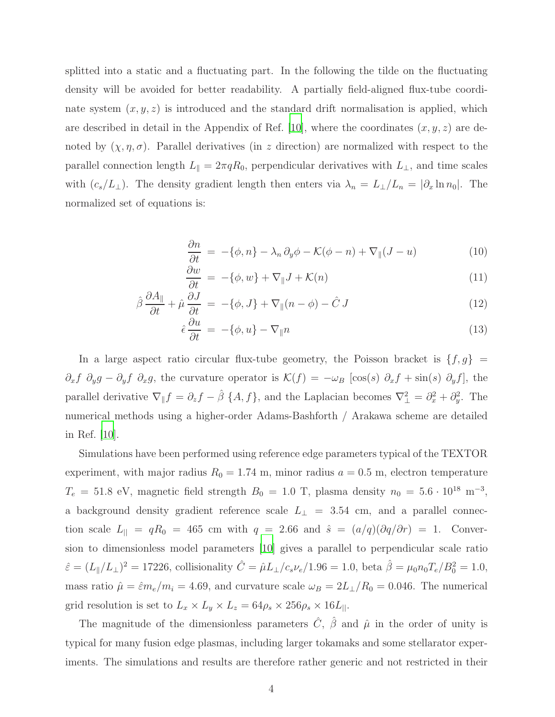splitted into a static and a fluctuating part. In the following the tilde on the fluctuating density will be avoided for better readability. A partially field-aligned flux-tube coordinate system  $(x, y, z)$  is introduced and the standard drift normalisation is applied, which are described in detail in the Appendix of Ref. [\[10\]](#page-16-5), where the coordinates  $(x, y, z)$  are denoted by  $(\chi, \eta, \sigma)$ . Parallel derivatives (in z direction) are normalized with respect to the parallel connection length  $L_{\parallel} = 2\pi q R_0$ , perpendicular derivatives with  $L_{\perp}$ , and time scales with  $(c_s/L_\perp)$ . The density gradient length then enters via  $\lambda_n = L_\perp/L_n = |\partial_x \ln n_0|$ . The normalized set of equations is:

$$
\frac{\partial n}{\partial t} = -\{\phi, n\} - \lambda_n \partial_y \phi - \mathcal{K}(\phi - n) + \nabla_{\parallel}(J - u) \tag{10}
$$

$$
\frac{\partial w}{\partial t} = -\{\phi, w\} + \nabla_{\parallel} J + \mathcal{K}(n) \tag{11}
$$

$$
\hat{\beta}\frac{\partial A_{\parallel}}{\partial t} + \hat{\mu}\frac{\partial J}{\partial t} = -\{\phi, J\} + \nabla_{\parallel}(n - \phi) - \hat{C} J \tag{12}
$$

$$
\hat{\epsilon} \frac{\partial u}{\partial t} = -\{\phi, u\} - \nabla_{\parallel} n \tag{13}
$$

In a large aspect ratio circular flux-tube geometry, the Poisson bracket is  $\{f, g\}$  =  $\partial_x f \partial_y g - \partial_y f \partial_x g$ , the curvature operator is  $\mathcal{K}(f) = -\omega_B [\cos(s) \partial_x f + \sin(s) \partial_y f]$ , the parallel derivative  $\nabla_{\parallel} f = \partial_z f - \hat{\beta} \{A, f\}$ , and the Laplacian becomes  $\nabla_{\perp}^2 = \partial_x^2 + \partial_y^2$  $y^2$ . The numerical methods using a higher-order Adams-Bashforth / Arakawa scheme are detailed in Ref. [\[10](#page-16-5)].

Simulations have been performed using reference edge parameters typical of the TEXTOR experiment, with major radius  $R_0 = 1.74$  m, minor radius  $a = 0.5$  m, electron temperature  $T_e = 51.8$  eV, magnetic field strength  $B_0 = 1.0$  T, plasma density  $n_0 = 5.6 \cdot 10^{18}$  m<sup>-3</sup>, a background density gradient reference scale  $L_{\perp}$  = 3.54 cm, and a parallel connection scale  $L_{\parallel} = qR_0 = 465$  cm with  $q = 2.66$  and  $\hat{s} = (a/q)(\partial q/\partial r) = 1$ . Conversion to dimensionless model parameters [\[10\]](#page-16-5) gives a parallel to perpendicular scale ratio  $\hat{\varepsilon} = (L_{\parallel}/L_{\perp})^2 = 17226$ , collisionality  $\hat{C} = \hat{\mu}L_{\perp}/c_s\nu_e/1.96 = 1.0$ , beta  $\hat{\beta} = \mu_0 n_0 T_e/B_0^2 = 1.0$ , mass ratio  $\hat{\mu} = \hat{\varepsilon}m_e/m_i = 4.69$ , and curvature scale  $\omega_B = 2L_{\perp}/R_0 = 0.046$ . The numerical grid resolution is set to  $L_x \times L_y \times L_z = 64 \rho_s \times 256 \rho_s \times 16L_{||}$ .

The magnitude of the dimensionless parameters  $\hat{C}$ ,  $\hat{\beta}$  and  $\hat{\mu}$  in the order of unity is typical for many fusion edge plasmas, including larger tokamaks and some stellarator experiments. The simulations and results are therefore rather generic and not restricted in their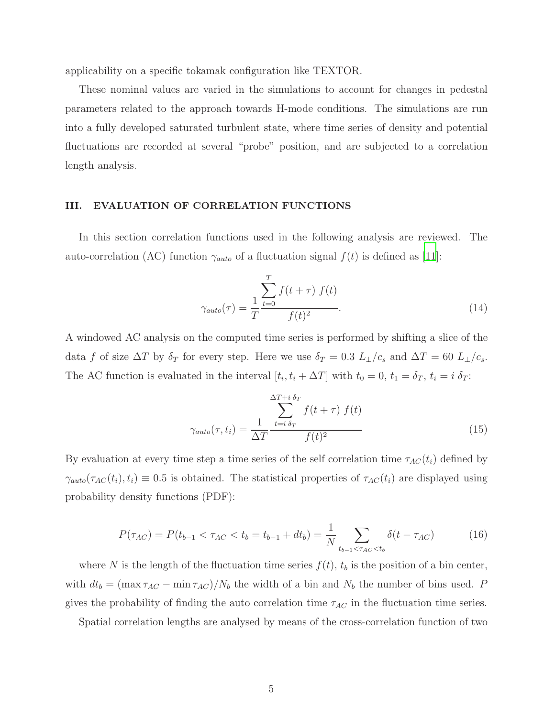applicability on a specific tokamak configuration like TEXTOR.

These nominal values are varied in the simulations to account for changes in pedestal parameters related to the approach towards H-mode conditions. The simulations are run into a fully developed saturated turbulent state, where time series of density and potential fluctuations are recorded at several "probe" position, and are subjected to a correlation length analysis.

## III. EVALUATION OF CORRELATION FUNCTIONS

In this section correlation functions used in the following analysis are reviewed. The auto-correlation (AC) function  $\gamma_{auto}$  of a fluctuation signal  $f(t)$  is defined as [\[11](#page-16-6)]:

$$
\gamma_{auto}(\tau) = \frac{1}{T} \frac{\sum_{t=0}^{T} f(t+\tau) f(t)}{f(t)^{2}}.
$$
\n(14)

A windowed AC analysis on the computed time series is performed by shifting a slice of the data f of size  $\Delta T$  by  $\delta_T$  for every step. Here we use  $\delta_T = 0.3$   $L_{\perp}/c_s$  and  $\Delta T = 60$   $L_{\perp}/c_s$ . The AC function is evaluated in the interval  $[t_i, t_i + \Delta T]$  with  $t_0 = 0, t_1 = \delta_T, t_i = i \delta_T$ :

$$
\gamma_{auto}(\tau, t_i) = \frac{1}{\Delta T} \frac{\sum_{t=i \delta_T}^{\Delta T + i \delta_T} f(t + \tau) f(t)}{f(t)^2}
$$
(15)

By evaluation at every time step a time series of the self correlation time  $\tau_{AC}(t_i)$  defined by  $\gamma_{auto}(\tau_{AC}(t_i), t_i) \equiv 0.5$  is obtained. The statistical properties of  $\tau_{AC}(t_i)$  are displayed using probability density functions (PDF):

$$
P(\tau_{AC}) = P(t_{b-1} < \tau_{AC} < t_b = t_{b-1} + dt_b) = \frac{1}{N} \sum_{t_{b-1} < \tau_{AC} < t_b} \delta(t - \tau_{AC}) \tag{16}
$$

where N is the length of the fluctuation time series  $f(t)$ ,  $t<sub>b</sub>$  is the position of a bin center, with  $dt_b = (\max \tau_{AC} - \min \tau_{AC})/N_b$  the width of a bin and  $N_b$  the number of bins used. P gives the probability of finding the auto correlation time  $\tau_{AC}$  in the fluctuation time series.

Spatial correlation lengths are analysed by means of the cross-correlation function of two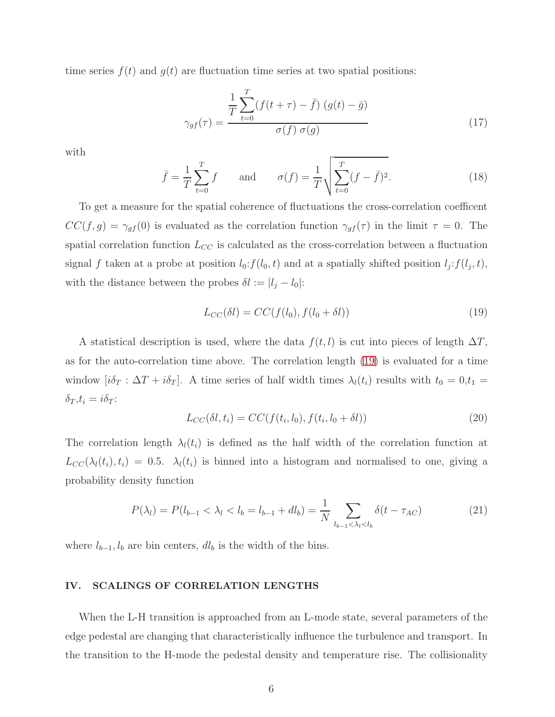time series  $f(t)$  and  $g(t)$  are fluctuation time series at two spatial positions:

$$
\gamma_{gf}(\tau) = \frac{\frac{1}{T} \sum_{t=0}^{T} (f(t+\tau) - \bar{f}) (g(t) - \bar{g})}{\sigma(f) \sigma(g)}
$$
(17)

with

$$
\bar{f} = \frac{1}{T} \sum_{t=0}^{T} f
$$
 and  $\sigma(f) = \frac{1}{T} \sqrt{\sum_{t=0}^{T} (f - \bar{f})^2}.$  (18)

To get a measure for the spatial coherence of fluctuations the cross-correlation coefficent  $CC(f, g) = \gamma_{gf}(0)$  is evaluated as the correlation function  $\gamma_{gf}(\tau)$  in the limit  $\tau = 0$ . The spatial correlation function  $L_{CC}$  is calculated as the cross-correlation between a fluctuation signal f taken at a probe at position  $l_0: f(l_0, t)$  and at a spatially shifted position  $l_j: f(l_j, t)$ , with the distance between the probes  $\delta l := |l_j - l_0|$ :

<span id="page-5-0"></span>
$$
L_{CC}(\delta l) = CC(f(l_0), f(l_0 + \delta l))
$$
\n(19)

A statistical description is used, where the data  $f(t, l)$  is cut into pieces of length  $\Delta T$ , as for the auto-correlation time above. The correlation length [\(19\)](#page-5-0) is evaluated for a time window  $[i\delta_T : \Delta T + i\delta_T]$ . A time series of half width times  $\lambda_l(t_i)$  results with  $t_0 = 0, t_1 =$  $\delta_T, t_i = i\delta_T$ :

$$
L_{CC}(\delta l, t_i) = CC(f(t_i, l_0), f(t_i, l_0 + \delta l))
$$
\n(20)

The correlation length  $\lambda_l(t_i)$  is defined as the half width of the correlation function at  $L_{CC}(\lambda_l(t_i), t_i) = 0.5$ .  $\lambda_l(t_i)$  is binned into a histogram and normalised to one, giving a probability density function

<span id="page-5-1"></span>
$$
P(\lambda_l) = P(l_{b-1} < \lambda_l < l_b = l_{b-1} + dl_b) = \frac{1}{N} \sum_{l_{b-1} < \lambda_l < l_b} \delta(t - \tau_{AC}) \tag{21}
$$

where  $l_{b-1}, l_b$  are bin centers,  $dl_b$  is the width of the bins.

## IV. SCALINGS OF CORRELATION LENGTHS

When the L-H transition is approached from an L-mode state, several parameters of the edge pedestal are changing that characteristically influence the turbulence and transport. In the transition to the H-mode the pedestal density and temperature rise. The collisionality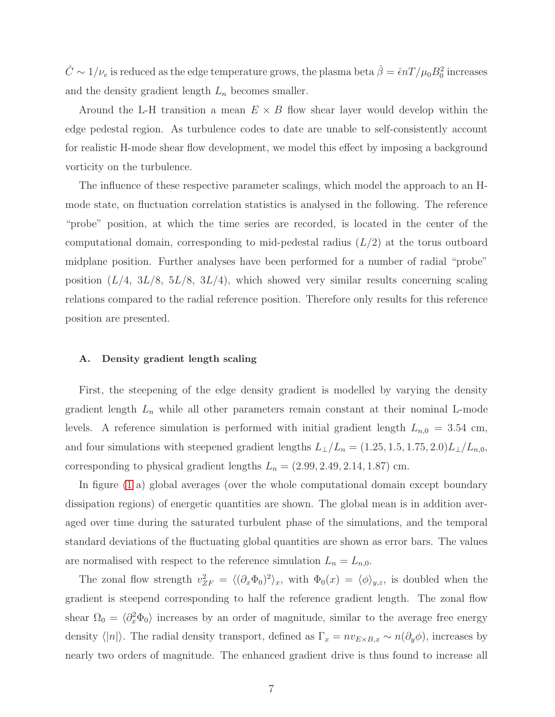$\hat{C} \sim 1/\nu_e$  is reduced as the edge temperature grows, the plasma beta  $\hat{\beta} = \hat{\epsilon} nT/\mu_0 B_0^2$  increases and the density gradient length  $L_n$  becomes smaller.

Around the L-H transition a mean  $E \times B$  flow shear layer would develop within the edge pedestal region. As turbulence codes to date are unable to self-consistently account for realistic H-mode shear flow development, we model this effect by imposing a background vorticity on the turbulence.

The influence of these respective parameter scalings, which model the approach to an Hmode state, on fluctuation correlation statistics is analysed in the following. The reference "probe" position, at which the time series are recorded, is located in the center of the computational domain, corresponding to mid-pedestal radius  $(L/2)$  at the torus outboard midplane position. Further analyses have been performed for a number of radial "probe" position  $(L/4, 3L/8, 5L/8, 3L/4)$ , which showed very similar results concerning scaling relations compared to the radial reference position. Therefore only results for this reference position are presented.

## A. Density gradient length scaling

First, the steepening of the edge density gradient is modelled by varying the density gradient length  $L_n$  while all other parameters remain constant at their nominal L-mode levels. A reference simulation is performed with initial gradient length  $L_{n,0} = 3.54$  cm, and four simulations with steepened gradient lengths  $L_{\perp}/L_n = (1.25, 1.5, 1.75, 2.0)L_{\perp}/L_{n,0}$ , corresponding to physical gradient lengths  $L_n = (2.99, 2.49, 2.14, 1.87)$  cm.

In figure [\(1](#page-7-0) a) global averages (over the whole computational domain except boundary dissipation regions) of energetic quantities are shown. The global mean is in addition averaged over time during the saturated turbulent phase of the simulations, and the temporal standard deviations of the fluctuating global quantities are shown as error bars. The values are normalised with respect to the reference simulation  $L_n = L_{n,0}$ .

The zonal flow strength  $v_{ZF}^2 = \langle (\partial_x \Phi_0)^2 \rangle_x$ , with  $\Phi_0(x) = \langle \phi \rangle_{y,z}$ , is doubled when the gradient is steepend corresponding to half the reference gradient length. The zonal flow shear  $\Omega_0 = \langle \partial_x^2 \Phi_0 \rangle$  increases by an order of magnitude, similar to the average free energy density  $\langle |n|\rangle$ . The radial density transport, defined as  $\Gamma_x = nv_{E\times B,x} \sim n(\partial_y \phi)$ , increases by nearly two orders of magnitude. The enhanced gradient drive is thus found to increase all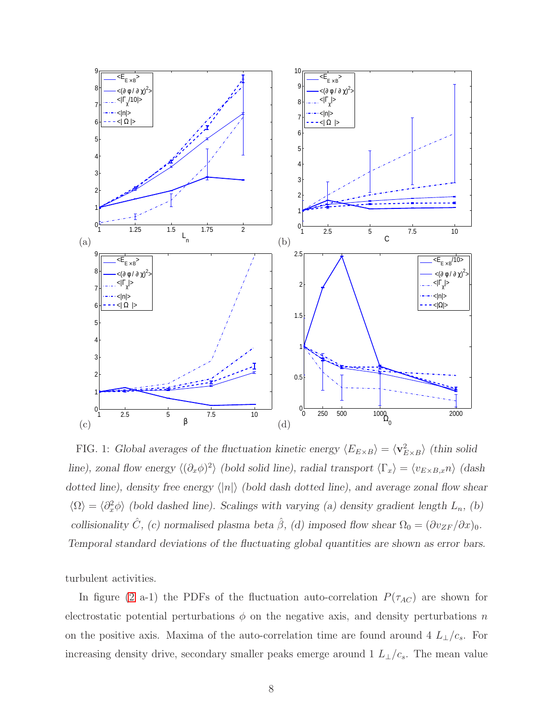

<span id="page-7-0"></span>FIG. 1: Global averages of the fluctuation kinetic energy  $\langle E_{E\times B} \rangle = \langle \mathbf{v}_{E\times B}^2 \rangle$  (thin solid line), zonal flow energy  $\langle (\partial_x \phi)^2 \rangle$  (bold solid line), radial transport  $\langle \Gamma_x \rangle = \langle v_{E \times B,x} n \rangle$  (dash dotted line), density free energy  $\langle |n| \rangle$  (bold dash dotted line), and average zonal flow shear  $\langle \Omega \rangle = \langle \partial_x^2 \phi \rangle$  (bold dashed line). Scalings with varying (a) density gradient length  $L_n$ , (b) collisionality  $\hat{C}$ , (c) normalised plasma beta  $\hat{\beta}$ , (d) imposed flow shear  $\Omega_0 = (\partial v_{ZF}/\partial x)_0$ . Temporal standard deviations of the fluctuating global quantities are shown as error bars.

turbulent activities.

In figure [\(2](#page-9-0) a-1) the PDFs of the fluctuation auto-correlation  $P(\tau_{AC})$  are shown for electrostatic potential perturbations  $\phi$  on the negative axis, and density perturbations n on the positive axis. Maxima of the auto-correlation time are found around 4  $L_{\perp}/c_s$ . For increasing density drive, secondary smaller peaks emerge around 1  $L_{\perp}/c_s$ . The mean value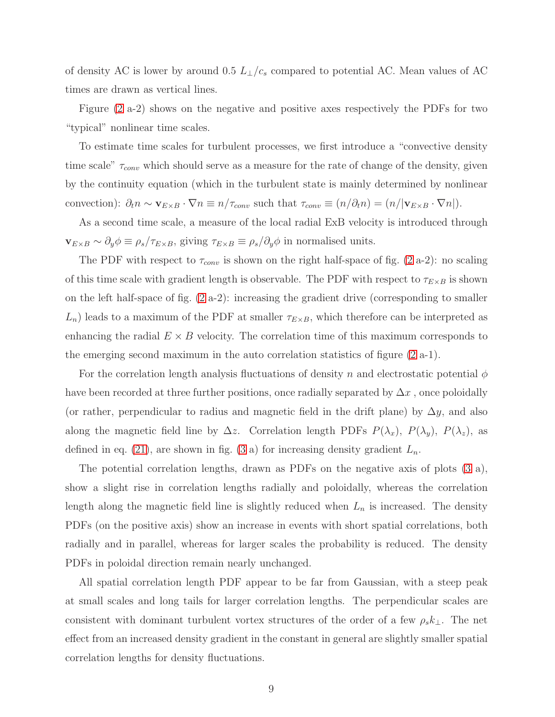of density AC is lower by around 0.5  $L_{\perp}/c_s$  compared to potential AC. Mean values of AC times are drawn as vertical lines.

Figure [\(2](#page-9-0) a-2) shows on the negative and positive axes respectively the PDFs for two "typical" nonlinear time scales.

To estimate time scales for turbulent processes, we first introduce a "convective density time scale"  $\tau_{conv}$  which should serve as a measure for the rate of change of the density, given by the continuity equation (which in the turbulent state is mainly determined by nonlinear convection):  $\partial_t n \sim \mathbf{v}_{E \times B} \cdot \nabla n \equiv n/\tau_{conv}$  such that  $\tau_{conv} \equiv (n/\partial_t n) = (n/|\mathbf{v}_{E \times B} \cdot \nabla n|)$ .

As a second time scale, a measure of the local radial ExB velocity is introduced through  $\mathbf{v}_{E\times B} \sim \partial_y \phi \equiv \rho_s / \tau_{E\times B}$ , giving  $\tau_{E\times B} \equiv \rho_s / \partial_y \phi$  in normalised units.

The PDF with respect to  $\tau_{conv}$  is shown on the right half-space of fig. [\(2](#page-9-0) a-2): no scaling of this time scale with gradient length is observable. The PDF with respect to  $\tau_{E\times B}$  is shown on the left half-space of fig. [\(2](#page-9-0) a-2): increasing the gradient drive (corresponding to smaller  $L_n$ ) leads to a maximum of the PDF at smaller  $\tau_{E\times B}$ , which therefore can be interpreted as enhancing the radial  $E \times B$  velocity. The correlation time of this maximum corresponds to the emerging second maximum in the auto correlation statistics of figure [\(2](#page-9-0) a-1).

For the correlation length analysis fluctuations of density n and electrostatic potential  $\phi$ have been recorded at three further positions, once radially separated by  $\Delta x$ , once poloidally (or rather, perpendicular to radius and magnetic field in the drift plane) by  $\Delta y$ , and also along the magnetic field line by  $\Delta z$ . Correlation length PDFs  $P(\lambda_x)$ ,  $P(\lambda_y)$ ,  $P(\lambda_z)$ , as defined in eq. [\(21\)](#page-5-1), are shown in fig. [\(3](#page-10-0) a) for increasing density gradient  $L_n$ .

The potential correlation lengths, drawn as PDFs on the negative axis of plots [\(3](#page-10-0) a), show a slight rise in correlation lengths radially and poloidally, whereas the correlation length along the magnetic field line is slightly reduced when  $L_n$  is increased. The density PDFs (on the positive axis) show an increase in events with short spatial correlations, both radially and in parallel, whereas for larger scales the probability is reduced. The density PDFs in poloidal direction remain nearly unchanged.

All spatial correlation length PDF appear to be far from Gaussian, with a steep peak at small scales and long tails for larger correlation lengths. The perpendicular scales are consistent with dominant turbulent vortex structures of the order of a few  $\rho_s k_{\perp}$ . The net effect from an increased density gradient in the constant in general are slightly smaller spatial correlation lengths for density fluctuations.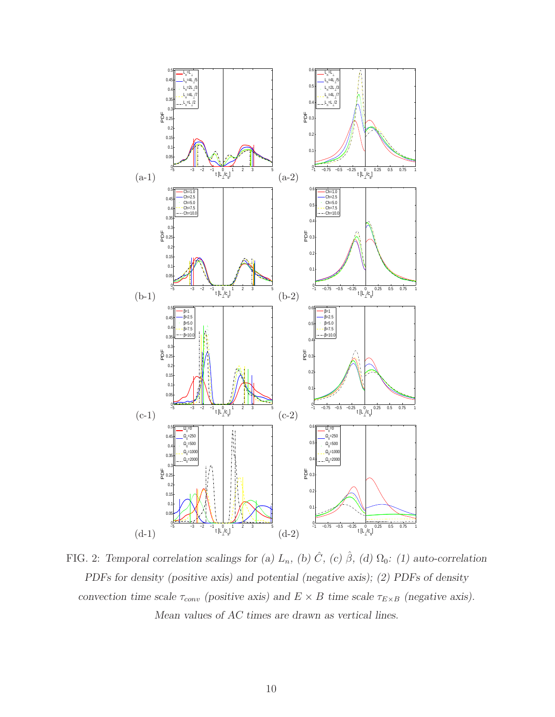

<span id="page-9-0"></span>FIG. 2: Temporal correlation scalings for (a)  $L_n$ , (b)  $\hat{C}$ , (c)  $\hat{\beta}$ , (d)  $\Omega_0$ : (1) auto-correlation PDFs for density (positive axis) and potential (negative axis); (2) PDFs of density convection time scale  $\tau_{conv}$  (positive axis) and  $E \times B$  time scale  $\tau_{E \times B}$  (negative axis). Mean values of AC times are drawn as vertical lines.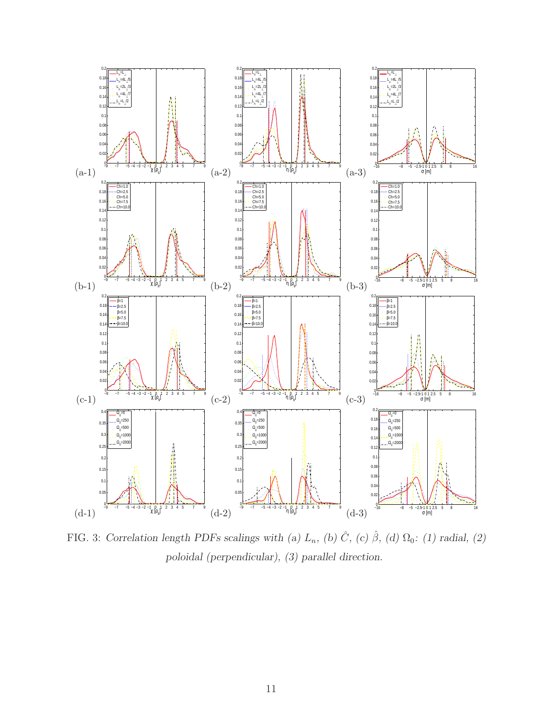

<span id="page-10-0"></span>FIG. 3: Correlation length PDFs scalings with (a)  $L_n$ , (b)  $\hat{C}$ , (c)  $\hat{\beta}$ , (d)  $\Omega_0$ : (1) radial, (2) poloidal (perpendicular), (3) parallel direction.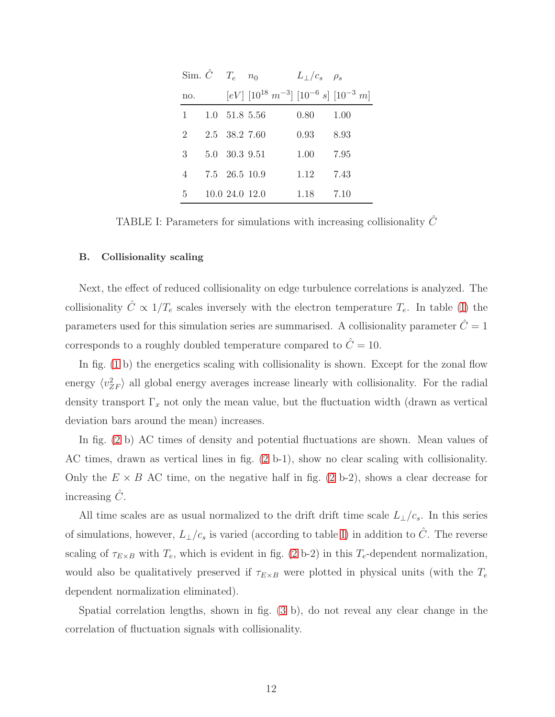|                        | Sim. $\hat{C}$ $T_e$ $n_0$  |                                                                               | $L_{\perp}/c_s$ $\rho_s$ |      |
|------------------------|-----------------------------|-------------------------------------------------------------------------------|--------------------------|------|
| no.                    |                             | $[eV]$ [10 <sup>18</sup> $m^{-3}$ ] [10 <sup>-6</sup> s] [10 <sup>-3</sup> m] |                          |      |
| $1 \quad \blacksquare$ | $1.0 \quad 51.8 \quad 5.56$ |                                                                               | 0.80                     | 1.00 |
| 2                      | 2.5 38.2 7.60               |                                                                               | 0.93                     | 8.93 |
| 3                      | 5.0 30.3 9.51               |                                                                               | 1.00                     | 7.95 |
| 4                      | 7.5 26.5 10.9               |                                                                               | 1.12                     | 7.43 |
| 5                      | 10.0 24.0 12.0              |                                                                               | 1.18                     | 7.10 |

<span id="page-11-0"></span>TABLE I: Parameters for simulations with increasing collisionality  $\hat{C}$ 

#### B. Collisionality scaling

Next, the effect of reduced collisionality on edge turbulence correlations is analyzed. The collisionality  $\hat{C} \propto 1/T_e$  scales inversely with the electron temperature  $T_e$ . In table [\(I\)](#page-11-0) the parameters used for this simulation series are summarised. A collisionality parameter  $\hat{C} = 1$ corresponds to a roughly doubled temperature compared to  $\hat{C} = 10$ .

In fig. [\(1](#page-7-0) b) the energetics scaling with collisionality is shown. Except for the zonal flow energy  $\langle v_{ZF}^2 \rangle$  all global energy averages increase linearly with collisionality. For the radial density transport  $\Gamma_x$  not only the mean value, but the fluctuation width (drawn as vertical deviation bars around the mean) increases.

In fig. [\(2](#page-9-0) b) AC times of density and potential fluctuations are shown. Mean values of AC times, drawn as vertical lines in fig. [\(2](#page-9-0) b-1), show no clear scaling with collisionality. Only the  $E \times B$  AC time, on the negative half in fig. [\(2](#page-9-0) b-2), shows a clear decrease for increasing  $C$ .

All time scales are as usual normalized to the drift drift time scale  $L_{\perp}/c_s$ . In this series of simulations, however,  $L_{\perp}/c_s$  is varied (according to table [I\)](#page-11-0) in addition to  $\hat{C}$ . The reverse scaling of  $\tau_{E\times B}$  with  $T_e$ , which is evident in fig. [\(2](#page-9-0) b-2) in this  $T_e$ -dependent normalization, would also be qualitatively preserved if  $\tau_{E\times B}$  were plotted in physical units (with the  $T_e$ dependent normalization eliminated).

Spatial correlation lengths, shown in fig. [\(3](#page-10-0) b), do not reveal any clear change in the correlation of fluctuation signals with collisionality.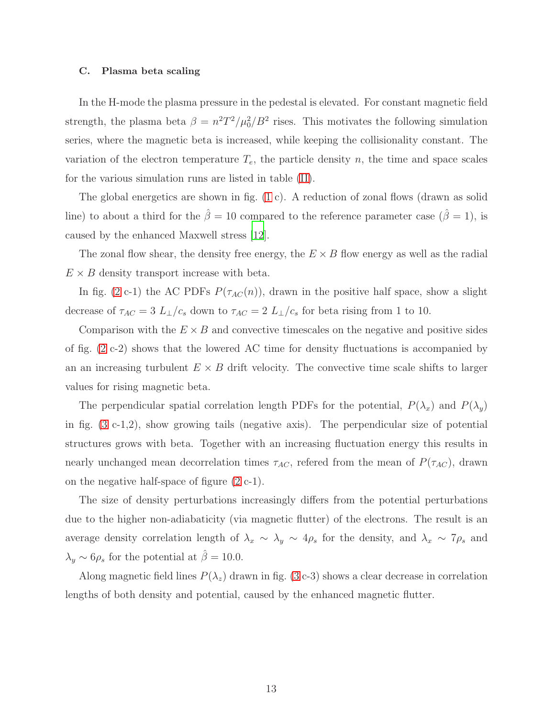#### C. Plasma beta scaling

In the H-mode the plasma pressure in the pedestal is elevated. For constant magnetic field strength, the plasma beta  $\beta = n^2T^2/\mu_0^2/B^2$  rises. This motivates the following simulation series, where the magnetic beta is increased, while keeping the collisionality constant. The variation of the electron temperature  $T_e$ , the particle density n, the time and space scales for the various simulation runs are listed in table [\(II\)](#page-13-0).

The global energetics are shown in fig. [\(1](#page-7-0) c). A reduction of zonal flows (drawn as solid line) to about a third for the  $\hat{\beta} = 10$  compared to the reference parameter case  $(\hat{\beta} = 1)$ , is caused by the enhanced Maxwell stress [\[12](#page-16-7)].

The zonal flow shear, the density free energy, the  $E \times B$  flow energy as well as the radial  $E \times B$  density transport increase with beta.

In fig. [\(2](#page-9-0) c-1) the AC PDFs  $P(\tau_{AC}(n))$ , drawn in the positive half space, show a slight decrease of  $\tau_{AC} = 3 L_{\perp}/c_s$  down to  $\tau_{AC} = 2 L_{\perp}/c_s$  for beta rising from 1 to 10.

Comparison with the  $E \times B$  and convective timescales on the negative and positive sides of fig. [\(2](#page-9-0) c-2) shows that the lowered AC time for density fluctuations is accompanied by an an increasing turbulent  $E \times B$  drift velocity. The convective time scale shifts to larger values for rising magnetic beta.

The perpendicular spatial correlation length PDFs for the potential,  $P(\lambda_x)$  and  $P(\lambda_y)$ in fig. [\(3](#page-10-0) c-1,2), show growing tails (negative axis). The perpendicular size of potential structures grows with beta. Together with an increasing fluctuation energy this results in nearly unchanged mean decorrelation times  $\tau_{AC}$ , refered from the mean of  $P(\tau_{AC})$ , drawn on the negative half-space of figure [\(2](#page-9-0) c-1).

The size of density perturbations increasingly differs from the potential perturbations due to the higher non-adiabaticity (via magnetic flutter) of the electrons. The result is an average density correlation length of  $\lambda_x \sim \lambda_y \sim 4\rho_s$  for the density, and  $\lambda_x \sim 7\rho_s$  and  $\lambda_y \sim 6\rho_s$  for the potential at  $\hat{\beta} = 10.0$ .

Along magnetic field lines  $P(\lambda_z)$  drawn in fig. [\(3](#page-10-0) c-3) shows a clear decrease in correlation lengths of both density and potential, caused by the enhanced magnetic flutter.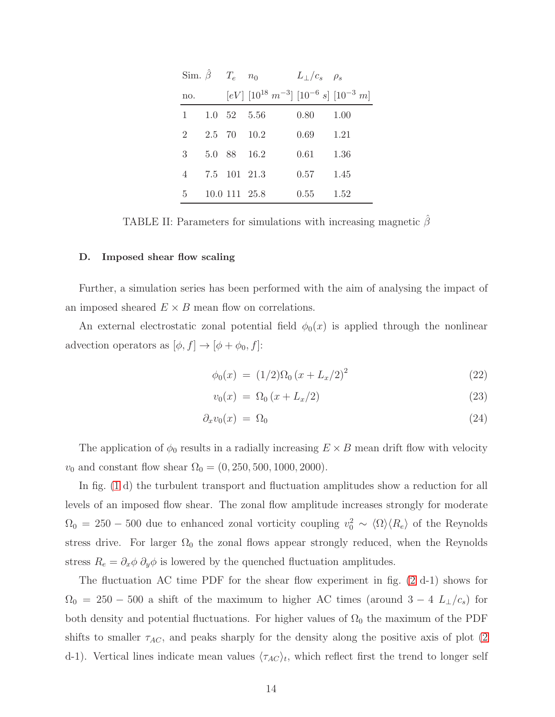|                 | Sim. $\hat{\beta}$ $T_e$ $n_0$    |             |                                                                               | $L_{\perp}/c_s$ $\rho_s$ |      |
|-----------------|-----------------------------------|-------------|-------------------------------------------------------------------------------|--------------------------|------|
| no.             |                                   |             | $[eV]$ [10 <sup>18</sup> $m^{-3}$ ] [10 <sup>-6</sup> s] [10 <sup>-3</sup> m] |                          |      |
|                 | $1 \quad 1.0 \quad 52 \quad 5.56$ |             |                                                                               | 0.80                     | 1.00 |
| $\overline{2}$  |                                   | 2.5 70 10.2 |                                                                               | 0.69                     | 1.21 |
| 3               |                                   | 5.0 88 16.2 |                                                                               | 0.61                     | 1.36 |
| 4               | 7.5 101 21.3                      |             |                                                                               | 0.57                     | 1.45 |
| $5\phantom{.0}$ | 10.0 111 25.8                     |             |                                                                               | 0.55                     | 1.52 |

<span id="page-13-0"></span>TABLE II: Parameters for simulations with increasing magnetic  $\beta$ 

#### D. Imposed shear flow scaling

Further, a simulation series has been performed with the aim of analysing the impact of an imposed sheared  $E \times B$  mean flow on correlations.

An external electrostatic zonal potential field  $\phi_0(x)$  is applied through the nonlinear advection operators as  $[\phi, f] \rightarrow [\phi + \phi_0, f]$ :

$$
\phi_0(x) = (1/2)\Omega_0 (x + L_x/2)^2 \tag{22}
$$

$$
v_0(x) = \Omega_0 \left( x + L_x/2 \right) \tag{23}
$$

$$
\partial_x v_0(x) = \Omega_0 \tag{24}
$$

The application of  $\phi_0$  results in a radially increasing  $E \times B$  mean drift flow with velocity  $v_0$  and constant flow shear  $\Omega_0 = (0, 250, 500, 1000, 2000)$ .

In fig. [\(1](#page-7-0) d) the turbulent transport and fluctuation amplitudes show a reduction for all levels of an imposed flow shear. The zonal flow amplitude increases strongly for moderate  $\Omega_0 = 250 - 500$  due to enhanced zonal vorticity coupling  $v_0^2 \sim \langle \Omega \rangle \langle R_e \rangle$  of the Reynolds stress drive. For larger  $\Omega_0$  the zonal flows appear strongly reduced, when the Reynolds stress  $R_e = \partial_x \phi \partial_y \phi$  is lowered by the quenched fluctuation amplitudes.

The fluctuation AC time PDF for the shear flow experiment in fig. [\(2](#page-9-0) d-1) shows for  $\Omega_0 = 250 - 500$  a shift of the maximum to higher AC times (around  $3 - 4$  L<sub>⊥</sub>/c<sub>s</sub>) for both density and potential fluctuations. For higher values of  $\Omega_0$  the maximum of the PDF shifts to smaller  $\tau_{AC}$ , and peaks sharply for the density along the positive axis of plot [\(2](#page-9-0)) d-1). Vertical lines indicate mean values  $\langle \tau_{AC} \rangle_t$ , which reflect first the trend to longer self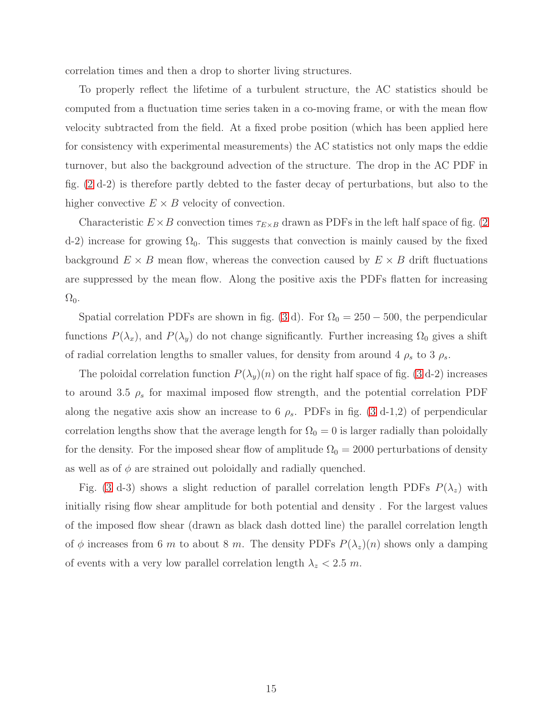correlation times and then a drop to shorter living structures.

To properly reflect the lifetime of a turbulent structure, the AC statistics should be computed from a fluctuation time series taken in a co-moving frame, or with the mean flow velocity subtracted from the field. At a fixed probe position (which has been applied here for consistency with experimental measurements) the AC statistics not only maps the eddie turnover, but also the background advection of the structure. The drop in the AC PDF in fig. [\(2](#page-9-0) d-2) is therefore partly debted to the faster decay of perturbations, but also to the higher convective  $E \times B$  velocity of convection.

Characteristic  $E \times B$  convection times  $\tau_{E \times B}$  drawn as PDFs in the left half space of fig. [\(2](#page-9-0)) d-2) increase for growing  $\Omega_0$ . This suggests that convection is mainly caused by the fixed background  $E \times B$  mean flow, whereas the convection caused by  $E \times B$  drift fluctuations are suppressed by the mean flow. Along the positive axis the PDFs flatten for increasing  $\Omega_0$ .

Spatial correlation PDFs are shown in fig. [\(3](#page-10-0) d). For  $\Omega_0 = 250 - 500$ , the perpendicular functions  $P(\lambda_x)$ , and  $P(\lambda_y)$  do not change significantly. Further increasing  $\Omega_0$  gives a shift of radial correlation lengths to smaller values, for density from around 4  $\rho_s$  to 3  $\rho_s$ .

The poloidal correlation function  $P(\lambda_y)(n)$  on the right half space of fig. [\(3](#page-10-0) d-2) increases to around 3.5  $\rho_s$  for maximal imposed flow strength, and the potential correlation PDF along the negative axis show an increase to 6  $\rho_s$ . PDFs in fig. [\(3](#page-10-0) d-1,2) of perpendicular correlation lengths show that the average length for  $\Omega_0 = 0$  is larger radially than poloidally for the density. For the imposed shear flow of amplitude  $\Omega_0 = 2000$  perturbations of density as well as of  $\phi$  are strained out poloidally and radially quenched.

Fig. [\(3](#page-10-0) d-3) shows a slight reduction of parallel correlation length PDFs  $P(\lambda_z)$  with initially rising flow shear amplitude for both potential and density . For the largest values of the imposed flow shear (drawn as black dash dotted line) the parallel correlation length of  $\phi$  increases from 6 m to about 8 m. The density PDFs  $P(\lambda_z)(n)$  shows only a damping of events with a very low parallel correlation length  $\lambda_z < 2.5$  m.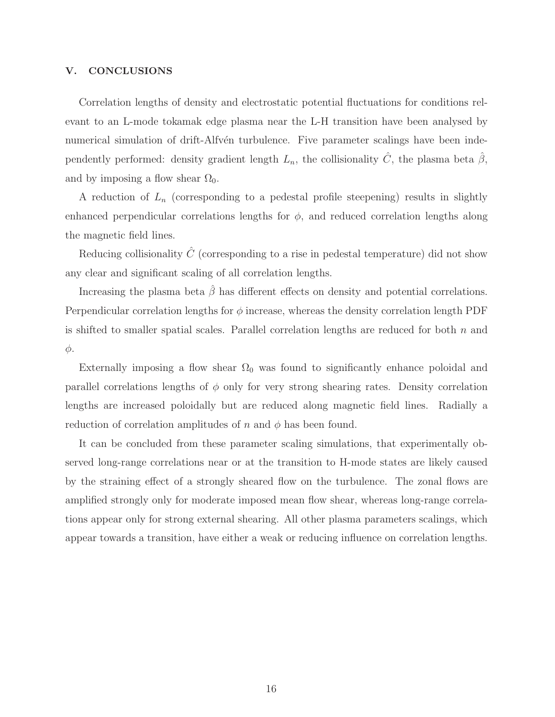## V. CONCLUSIONS

Correlation lengths of density and electrostatic potential fluctuations for conditions relevant to an L-mode tokamak edge plasma near the L-H transition have been analysed by numerical simulation of drift-Alfv $\acute{e}$ n turbulence. Five parameter scalings have been independently performed: density gradient length  $L_n$ , the collisionality  $\hat{C}$ , the plasma beta  $\hat{\beta}$ , and by imposing a flow shear  $\Omega_0$ .

A reduction of  $L_n$  (corresponding to a pedestal profile steepening) results in slightly enhanced perpendicular correlations lengths for  $\phi$ , and reduced correlation lengths along the magnetic field lines.

Reducing collisionality  $\hat{C}$  (corresponding to a rise in pedestal temperature) did not show any clear and significant scaling of all correlation lengths.

Increasing the plasma beta  $\hat{\beta}$  has different effects on density and potential correlations. Perpendicular correlation lengths for  $\phi$  increase, whereas the density correlation length PDF is shifted to smaller spatial scales. Parallel correlation lengths are reduced for both  $n$  and φ.

Externally imposing a flow shear  $\Omega_0$  was found to significantly enhance poloidal and parallel correlations lengths of  $\phi$  only for very strong shearing rates. Density correlation lengths are increased poloidally but are reduced along magnetic field lines. Radially a reduction of correlation amplitudes of n and  $\phi$  has been found.

It can be concluded from these parameter scaling simulations, that experimentally observed long-range correlations near or at the transition to H-mode states are likely caused by the straining effect of a strongly sheared flow on the turbulence. The zonal flows are amplified strongly only for moderate imposed mean flow shear, whereas long-range correlations appear only for strong external shearing. All other plasma parameters scalings, which appear towards a transition, have either a weak or reducing influence on correlation lengths.